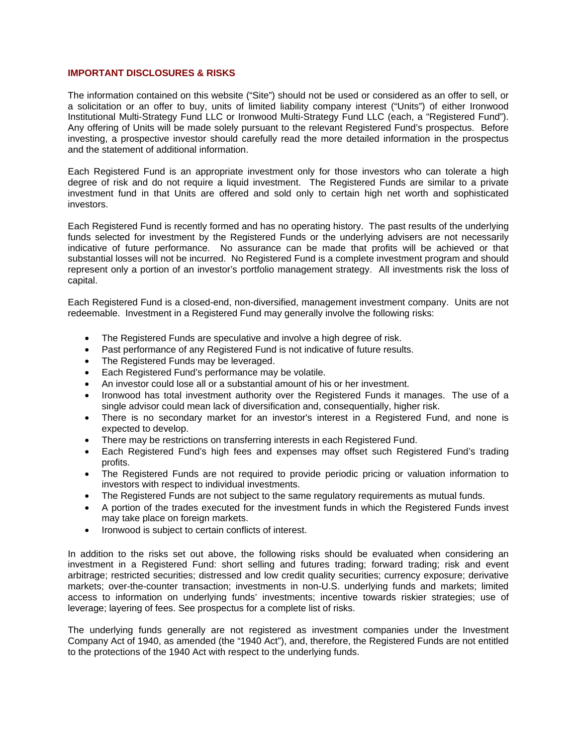## **IMPORTANT DISCLOSURES & RISKS**

The information contained on this website ("Site") should not be used or considered as an offer to sell, or a solicitation or an offer to buy, units of limited liability company interest ("Units") of either Ironwood Institutional Multi-Strategy Fund LLC or Ironwood Multi-Strategy Fund LLC (each, a "Registered Fund"). Any offering of Units will be made solely pursuant to the relevant Registered Fund's prospectus. Before investing, a prospective investor should carefully read the more detailed information in the prospectus and the statement of additional information.

Each Registered Fund is an appropriate investment only for those investors who can tolerate a high degree of risk and do not require a liquid investment. The Registered Funds are similar to a private investment fund in that Units are offered and sold only to certain high net worth and sophisticated investors.

Each Registered Fund is recently formed and has no operating history. The past results of the underlying funds selected for investment by the Registered Funds or the underlying advisers are not necessarily indicative of future performance. No assurance can be made that profits will be achieved or that substantial losses will not be incurred. No Registered Fund is a complete investment program and should represent only a portion of an investor's portfolio management strategy. All investments risk the loss of capital.

Each Registered Fund is a closed-end, non-diversified, management investment company. Units are not redeemable. Investment in a Registered Fund may generally involve the following risks:

- The Registered Funds are speculative and involve a high degree of risk.
- Past performance of any Registered Fund is not indicative of future results.
- The Registered Funds may be leveraged.
- Each Registered Fund's performance may be volatile.
- An investor could lose all or a substantial amount of his or her investment.
- Ironwood has total investment authority over the Registered Funds it manages. The use of a single advisor could mean lack of diversification and, consequentially, higher risk.
- There is no secondary market for an investor's interest in a Registered Fund, and none is expected to develop.
- There may be restrictions on transferring interests in each Registered Fund.
- Each Registered Fund's high fees and expenses may offset such Registered Fund's trading profits.
- The Registered Funds are not required to provide periodic pricing or valuation information to investors with respect to individual investments.
- The Registered Funds are not subject to the same regulatory requirements as mutual funds.
- A portion of the trades executed for the investment funds in which the Registered Funds invest may take place on foreign markets.
- Ironwood is subject to certain conflicts of interest.

In addition to the risks set out above, the following risks should be evaluated when considering an investment in a Registered Fund: short selling and futures trading; forward trading; risk and event arbitrage; restricted securities; distressed and low credit quality securities; currency exposure; derivative markets; over-the-counter transaction; investments in non-U.S. underlying funds and markets; limited access to information on underlying funds' investments; incentive towards riskier strategies; use of leverage; layering of fees. See prospectus for a complete list of risks.

The underlying funds generally are not registered as investment companies under the Investment Company Act of 1940, as amended (the "1940 Act"), and, therefore, the Registered Funds are not entitled to the protections of the 1940 Act with respect to the underlying funds.